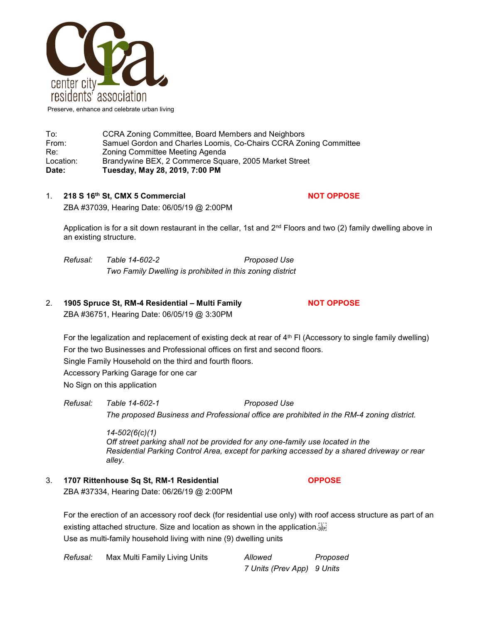

Preserve, enhance and celebrate urban living

To: CCRA Zoning Committee, Board Members and Neighbors From: Samuel Gordon and Charles Loomis, Co-Chairs CCRA Zoning Committee Re: Zoning Committee Meeting Agenda Location: Brandywine BEX, 2 Commerce Square, 2005 Market Street Date: Tuesday, May 28, 2019, 7:00 PM

## 1. 218 S 16<sup>th</sup> St, CMX 5 Commercial NOT OPPOSE ZBA #37039, Hearing Date: 06/05/19 @ 2:00PM

Application is for a sit down restaurant in the cellar, 1st and  $2<sup>nd</sup>$  Floors and two (2) family dwelling above in an existing structure.

Refusal: Table 14-602-2 Proposed Use Two Family Dwelling is prohibited in this zoning district

## 2. 1905 Spruce St, RM-4 Residential – Multi Family NOT OPPOSE ZBA #36751, Hearing Date: 06/05/19 @ 3:30PM

For the legalization and replacement of existing deck at rear of  $4<sup>th</sup>$  FI (Accessory to single family dwelling) For the two Businesses and Professional offices on first and second floors.

Single Family Household on the third and fourth floors.

Accessory Parking Garage for one car

No Sign on this application

Refusal: Table 14-602-1 Proposed Use The proposed Business and Professional office are prohibited in the RM-4 zoning district.

> 14-502(6(c)(1) Off street parking shall not be provided for any one-family use located in the Residential Parking Control Area, except for parking accessed by a shared driveway or rear alley.

3. 1707 Rittenhouse Sq St, RM-1 Residential COPPOSE ZBA #37334, Hearing Date: 06/26/19 @ 2:00PM

For the erection of an accessory roof deck (for residential use only) with roof access structure as part of an existing attached structure. Size and location as shown in the application. Use as multi-family household living with nine (9) dwelling units

| Refusal: | Max Multi Family Living Units | Allowed                    | Proposed |
|----------|-------------------------------|----------------------------|----------|
|          |                               | 7 Units (Prev App) 9 Units |          |